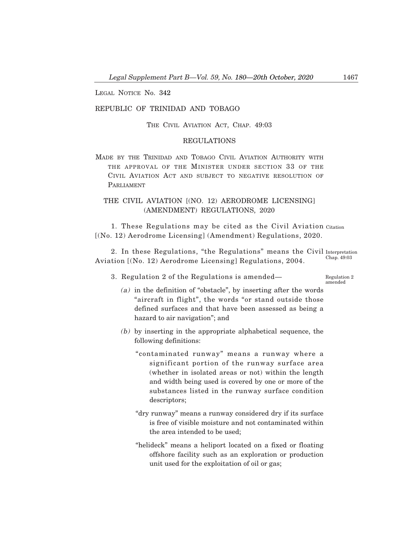LEGAL NOTICE No. 342

## REPUBLIC OF TRINIDAD AND TOBAGO

THE CIVIL AVIATION ACT, CHAP. 49:03

### REGULATIONS

MADE BY THE TRINIDAD AND TOBAGO CIVIL AVIATION AUTHORITY WITH THE APPROVAL OF THE MINISTER UNDER SECTION 33 OF THE CIVIL AVIATION ACT AND SUBJECT TO NEGATIVE RESOLUTION OF PARLIAMENT

# THE CIVIL AVIATION [(NO. 12) AERODROME LICENSING] (AMENDMENT) REGULATIONS, 2020

1. These Regulations may be cited as the Civil Aviation Citation [(No. 12) Aerodrome Licensing] (Amendment) Regulations, 2020.

2. In these Regulations, "the Regulations" means the Civil Interpretation Aviation [(No. 12) Aerodrome Licensing] Regulations, 2004. Chap. 49:03

3. Regulation 2 of the Regulations is amended–

Regulation 2 amended

- (a) in the definition of "obstacle", by inserting after the words "aircraft in flight", the words "or stand outside those defined surfaces and that have been assessed as being a hazard to air navigation"; and
- (b) by inserting in the appropriate alphabetical sequence, the following definitions:
	- "contaminated runway" means a runway where a significant portion of the runway surface area (whether in isolated areas or not) within the length and width being used is covered by one or more of the substances listed in the runway surface condition descriptors;
	- "dry runway" means a runway considered dry if its surface is free of visible moisture and not contaminated within the area intended to be used;
	- "helideck" means a heliport located on a fixed or floating offshore facility such as an exploration or production unit used for the exploitation of oil or gas;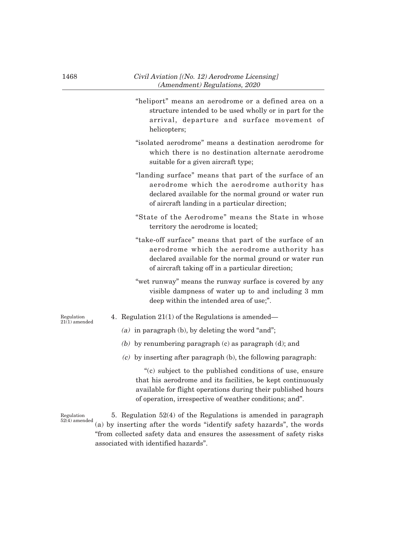- "heliport" means an aerodrome or a defined area on a structure intended to be used wholly or in part for the arrival, departure and surface movement of helicopters;
- "isolated aerodrome" means a destination aerodrome for which there is no destination alternate aerodrome suitable for a given aircraft type;
- "landing surface" means that part of the surface of an aerodrome which the aerodrome authority has declared available for the normal ground or water run of aircraft landing in a particular direction;
- "State of the Aerodrome" means the State in whose territory the aerodrome is located;
- "take-off surface" means that part of the surface of an aerodrome which the aerodrome authority has declared available for the normal ground or water run of aircraft taking off in a particular direction;
- "wet runway" means the runway surface is covered by any visible dampness of water up to and including 3 mm deep within the intended area of use;".
- Regulation  $21(1)$  amended

Regulation

- 4. Regulation 21(1) of the Regulations is amended–
	- (a) in paragraph (b), by deleting the word "and";
	- (b) by renumbering paragraph  $(c)$  as paragraph  $(d)$ ; and
	- (c) by inserting after paragraph (b), the following paragraph:

"(c) subject to the published conditions of use, ensure that his aerodrome and its facilities, be kept continuously available for flight operations during their published hours of operation, irrespective of weather conditions; and".

5. Regulation 52(4) of the Regulations is amended in paragraph (a) by inserting after the words "identify safety hazards", the words "from collected safety data and ensures the assessment of safety risks associated with identified hazards". 52(4) amended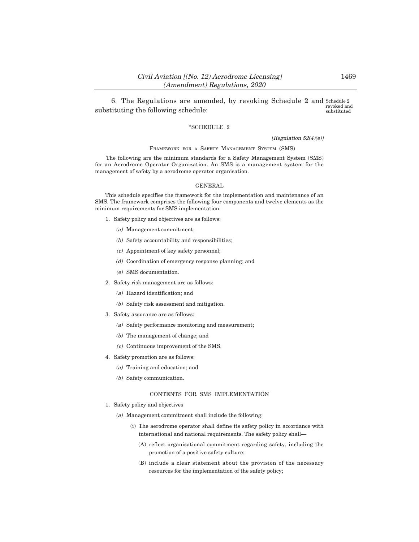6. The Regulations are amended, by revoking Schedule 2 and Schedule 2 substituting the following schedule: revoked and substituted

### "SCHEDULE 2

[Regulation 52(4)(e)]

#### FRAMEWORK FOR A SAFETY MANAGEMENT SYSTEM (SMS)

The following are the minimum standards for a Safety Management System (SMS) for an Aerodrome Operator Organization. An SMS is a management system for the management of safety by a aerodrome operator organisation.

#### GENERAL

This schedule specifies the framework for the implementation and maintenance of an SMS. The framework comprises the following four components and twelve elements as the minimum requirements for SMS implementation:

- 1. Safety policy and objectives are as follows:
	- (a) Management commitment;
	- (b) Safety accountability and responsibilities;
	- (c) Appointment of key safety personnel;
	- (d) Coordination of emergency response planning; and
	- (e) SMS documentation.
- 2. Safety risk management are as follows:
	- (a) Hazard identification; and
	- (b) Safety risk assessment and mitigation.
- 3. Safety assurance are as follows:
	- (a) Safety performance monitoring and measurement;
	- (b) The management of change; and
	- (c) Continuous improvement of the SMS.
- 4. Safety promotion are as follows:
	- (a) Training and education; and
	- (b) Safety communication.

#### CONTENTS FOR SMS IMPLEMENTATION

- 1. Safety policy and objectives
	- (a) Management commitment shall include the following:
		- (i) The aerodrome operator shall define its safety policy in accordance with international and national requirements. The safety policy shall–
			- (A) reflect organisational commitment regarding safety, including the promotion of a positive safety culture;
			- (B) include a clear statement about the provision of the necessary resources for the implementation of the safety policy;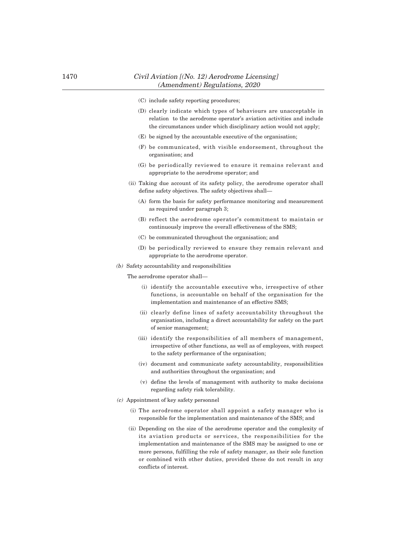- (C) include safety reporting procedures;
- (D) clearly indicate which types of behaviours are unacceptable in relation to the aerodrome operator's aviation activities and include the circumstances under which disciplinary action would not apply;
- (E) be signed by the accountable executive of the organisation;
- (F) be communicated, with visible endorsement, throughout the organisation; and
- (G) be periodically reviewed to ensure it remains relevant and appropriate to the aerodrome operator; and
- (ii) Taking due account of its safety policy, the aerodrome operator shall define safety objectives. The safety objectives shall–
	- (A) form the basis for safety performance monitoring and measurement as required under paragraph 3;
	- (B) reflect the aerodrome operator's commitment to maintain or continuously improve the overall effectiveness of the SMS;
	- (C) be communicated throughout the organisation; and
	- (D) be periodically reviewed to ensure they remain relevant and appropriate to the aerodrome operator.
- (b) Safety accountability and responsibilities

The aerodrome operator shall-

- (i) identify the accountable executive who, irrespective of other functions, is accountable on behalf of the organisation for the implementation and maintenance of an effective SMS;
- (ii) clearly define lines of safety accountability throughout the organisation, including a direct accountability for safety on the part of senior management;
- (iii) identify the responsibilities of all members of management, irrespective of other functions, as well as of employees, with respect to the safety performance of the organisation;
- (iv) document and communicate safety accountability, responsibilities and authorities throughout the organisation; and
- (v) define the levels of management with authority to make decisions regarding safety risk tolerability.
- (c) Appointment of key safety personnel
	- (i) The aerodrome operator shall appoint a safety manager who is responsible for the implementation and maintenance of the SMS; and
	- (ii) Depending on the size of the aerodrome operator and the complexity of its aviation products or services, the responsibilities for the implementation and maintenance of the SMS may be assigned to one or more persons, fulfilling the role of safety manager, as their sole function or combined with other duties, provided these do not result in any conflicts of interest.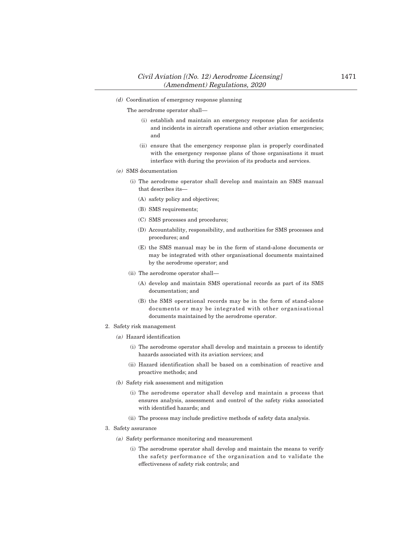(d) Coordination of emergency response planning

The aerodrome operator shall-

- (i) establish and maintain an emergency response plan for accidents and incidents in aircraft operations and other aviation emergencies; and
- (ii) ensure that the emergency response plan is properly coordinated with the emergency response plans of those organisations it must interface with during the provision of its products and services.
- (e) SMS documentation
	- (i) The aerodrome operator shall develop and maintain an SMS manual that describes its–
		- (A) safety policy and objectives;
		- (B) SMS requirements;
		- (C) SMS processes and procedures;
		- (D) Accountability, responsibility, and authorities for SMS processes and procedures; and
		- (E) the SMS manual may be in the form of stand-alone documents or may be integrated with other organisational documents maintained by the aerodrome operator; and
	- (ii) The aerodrome operator shall–
		- (A) develop and maintain SMS operational records as part of its SMS documentation; and
		- (B) the SMS operational records may be in the form of stand-alone documents or may be integrated with other organisational documents maintained by the aerodrome operator.
- 2. Safety risk management
	- (a) Hazard identification
		- (i) The aerodrome operator shall develop and maintain a process to identify hazards associated with its aviation services; and
		- (ii) Hazard identification shall be based on a combination of reactive and proactive methods; and
	- (b) Safety risk assessment and mitigation
		- (i) The aerodrome operator shall develop and maintain a process that ensures analysis, assessment and control of the safety risks associated with identified hazards; and
		- (ii) The process may include predictive methods of safety data analysis.
- 3. Safety assurance
	- (a) Safety performance monitoring and measurement
		- (i) The aerodrome operator shall develop and maintain the means to verify the safety performance of the organisation and to validate the effectiveness of safety risk controls; and